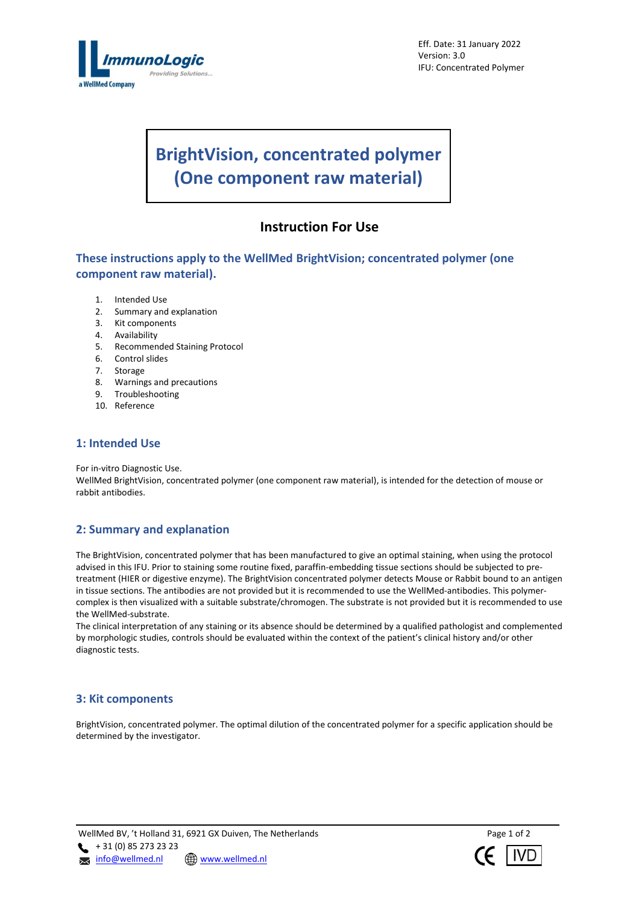

Eff. Date: 31 January 2022 Version: 3.0 IFU: Concentrated Polymer

# **BrightVision, concentrated polymer (One component raw material)**

## **Instruction For Use**

**These instructions apply to the WellMed BrightVision; concentrated polymer (one component raw material).**

- 1. Intended Use
- 2. Summary and explanation
- 3. Kit components
- 4. Availability
- 5. Recommended Staining Protocol
- 6. Control slides
- 7. Storage
- 8. Warnings and precautions
- 9. Troubleshooting
- 10. Reference

## **1: Intended Use**

For in-vitro Diagnostic Use.

WellMed BrightVision, concentrated polymer (one component raw material), is intended for the detection of mouse or rabbit antibodies.

## **2: Summary and explanation**

The BrightVision, concentrated polymer that has been manufactured to give an optimal staining, when using the protocol advised in this IFU. Prior to staining some routine fixed, paraffin-embedding tissue sections should be subjected to pretreatment (HIER or digestive enzyme). The BrightVision concentrated polymer detects Mouse or Rabbit bound to an antigen in tissue sections. The antibodies are not provided but it is recommended to use the WellMed-antibodies. This polymercomplex is then visualized with a suitable substrate/chromogen. The substrate is not provided but it is recommended to use the WellMed-substrate.

The clinical interpretation of any staining or its absence should be determined by a qualified pathologist and complemented by morphologic studies, controls should be evaluated within the context of the patient's clinical history and/or other diagnostic tests.

## **3: Kit components**

BrightVision, concentrated polymer. The optimal dilution of the concentrated polymer for a specific application should be determined by the investigator.